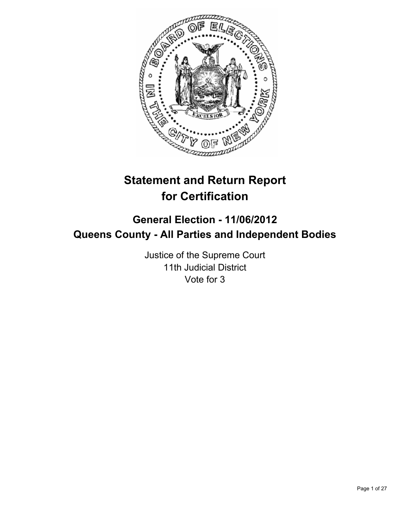

# **Statement and Return Report for Certification**

# **General Election - 11/06/2012 Queens County - All Parties and Independent Bodies**

Justice of the Supreme Court 11th Judicial District Vote for 3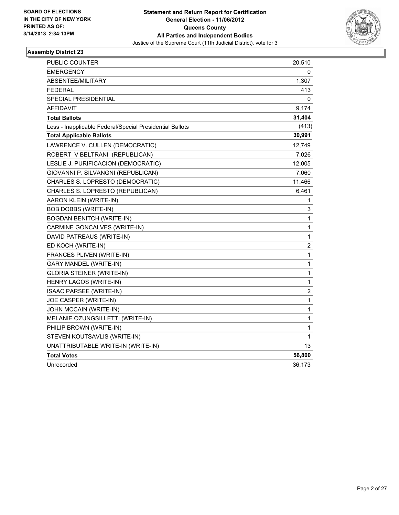

| <b>PUBLIC COUNTER</b>                                    | 20,510       |
|----------------------------------------------------------|--------------|
| <b>EMERGENCY</b>                                         | 0            |
| ABSENTEE/MILITARY                                        | 1,307        |
| <b>FEDERAL</b>                                           | 413          |
| SPECIAL PRESIDENTIAL                                     | 0            |
| <b>AFFIDAVIT</b>                                         | 9,174        |
| <b>Total Ballots</b>                                     | 31,404       |
| Less - Inapplicable Federal/Special Presidential Ballots | (413)        |
| <b>Total Applicable Ballots</b>                          | 30,991       |
| LAWRENCE V. CULLEN (DEMOCRATIC)                          | 12,749       |
| ROBERT V BELTRANI (REPUBLICAN)                           | 7,026        |
| LESLIE J. PURIFICACION (DEMOCRATIC)                      | 12,005       |
| GIOVANNI P. SILVANGNI (REPUBLICAN)                       | 7,060        |
| CHARLES S. LOPRESTO (DEMOCRATIC)                         | 11,466       |
| CHARLES S. LOPRESTO (REPUBLICAN)                         | 6,461        |
| AARON KLEIN (WRITE-IN)                                   | 1            |
| <b>BOB DOBBS (WRITE-IN)</b>                              | 3            |
| <b>BOGDAN BENITCH (WRITE-IN)</b>                         | 1            |
| CARMINE GONCALVES (WRITE-IN)                             | 1            |
| DAVID PATREAUS (WRITE-IN)                                | $\mathbf{1}$ |
| ED KOCH (WRITE-IN)                                       | $\mathbf 2$  |
| FRANCES PLIVEN (WRITE-IN)                                | $\mathbf{1}$ |
| <b>GARY MANDEL (WRITE-IN)</b>                            | 1            |
| <b>GLORIA STEINER (WRITE-IN)</b>                         | $\mathbf{1}$ |
| HENRY LAGOS (WRITE-IN)                                   | 1            |
| <b>ISAAC PARSEE (WRITE-IN)</b>                           | 2            |
| JOE CASPER (WRITE-IN)                                    | $\mathbf{1}$ |
| JOHN MCCAIN (WRITE-IN)                                   | $\mathbf{1}$ |
| MELANIE OZUNGSILLETTI (WRITE-IN)                         | $\mathbf{1}$ |
| PHILIP BROWN (WRITE-IN)                                  | 1            |
| STEVEN KOUTSAVLIS (WRITE-IN)                             | 1            |
| UNATTRIBUTABLE WRITE-IN (WRITE-IN)                       | 13           |
| <b>Total Votes</b>                                       | 56,800       |
| Unrecorded                                               | 36,173       |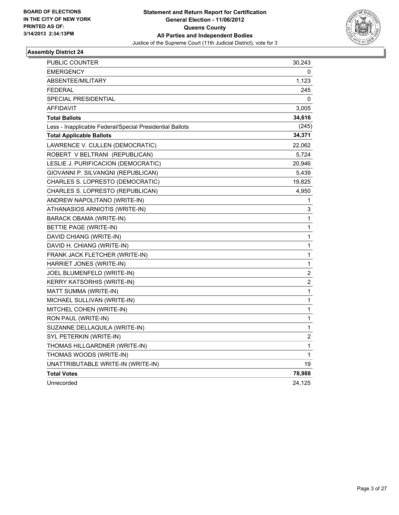

| PUBLIC COUNTER                                           | 30,243                  |
|----------------------------------------------------------|-------------------------|
| <b>EMERGENCY</b>                                         | 0                       |
| ABSENTEE/MILITARY                                        | 1,123                   |
| <b>FEDERAL</b>                                           | 245                     |
| SPECIAL PRESIDENTIAL                                     | 0                       |
| <b>AFFIDAVIT</b>                                         | 3,005                   |
| <b>Total Ballots</b>                                     | 34,616                  |
| Less - Inapplicable Federal/Special Presidential Ballots | (245)                   |
| <b>Total Applicable Ballots</b>                          | 34,371                  |
| LAWRENCE V. CULLEN (DEMOCRATIC)                          | 22,062                  |
| ROBERT V BELTRANI (REPUBLICAN)                           | 5,724                   |
| LESLIE J. PURIFICACION (DEMOCRATIC)                      | 20,946                  |
| GIOVANNI P. SILVANGNI (REPUBLICAN)                       | 5,439                   |
| CHARLES S. LOPRESTO (DEMOCRATIC)                         | 19,825                  |
| CHARLES S. LOPRESTO (REPUBLICAN)                         | 4,950                   |
| ANDREW NAPOLITANO (WRITE-IN)                             | 1                       |
| ATHANASIOS ARNIOTIS (WRITE-IN)                           | 3                       |
| BARACK OBAMA (WRITE-IN)                                  | 1                       |
| BETTIE PAGE (WRITE-IN)                                   | 1                       |
| DAVID CHIANG (WRITE-IN)                                  | 1                       |
| DAVID H. CHIANG (WRITE-IN)                               | 1                       |
| FRANK JACK FLETCHER (WRITE-IN)                           | 1                       |
| HARRIET JONES (WRITE-IN)                                 | 1                       |
| JOEL BLUMENFELD (WRITE-IN)                               | $\overline{\mathbf{c}}$ |
| KERRY KATSORHIS (WRITE-IN)                               | 2                       |
| MATT SUMMA (WRITE-IN)                                    | 1                       |
| MICHAEL SULLIVAN (WRITE-IN)                              | 1                       |
| MITCHEL COHEN (WRITE-IN)                                 | 1                       |
| RON PAUL (WRITE-IN)                                      | $\mathbf 1$             |
| SUZANNE DELLAQUILA (WRITE-IN)                            | 1                       |
| SYL PETERKIN (WRITE-IN)                                  | $\overline{\mathbf{c}}$ |
| THOMAS HILLGARDNER (WRITE-IN)                            | 1                       |
| THOMAS WOODS (WRITE-IN)                                  | 1                       |
| UNATTRIBUTABLE WRITE-IN (WRITE-IN)                       | 19                      |
| <b>Total Votes</b>                                       | 78,988                  |
| Unrecorded                                               | 24,125                  |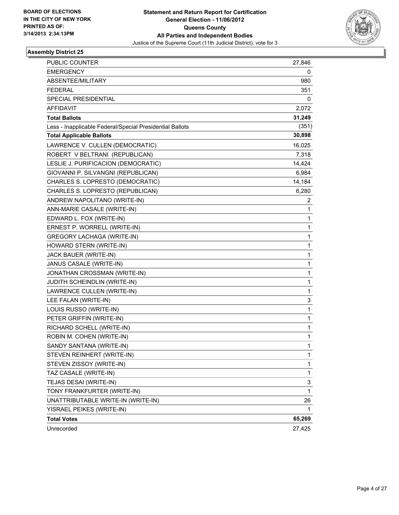

| PUBLIC COUNTER                                           | 27,846       |
|----------------------------------------------------------|--------------|
| <b>EMERGENCY</b>                                         | 0            |
| ABSENTEE/MILITARY                                        | 980          |
| <b>FEDERAL</b>                                           | 351          |
| SPECIAL PRESIDENTIAL                                     | 0            |
| <b>AFFIDAVIT</b>                                         | 2,072        |
| <b>Total Ballots</b>                                     | 31,249       |
| Less - Inapplicable Federal/Special Presidential Ballots | (351)        |
| <b>Total Applicable Ballots</b>                          | 30,898       |
| LAWRENCE V. CULLEN (DEMOCRATIC)                          | 16,025       |
| ROBERT V BELTRANI (REPUBLICAN)                           | 7,318        |
| LESLIE J. PURIFICACION (DEMOCRATIC)                      | 14,424       |
| GIOVANNI P. SILVANGNI (REPUBLICAN)                       | 6,984        |
| CHARLES S. LOPRESTO (DEMOCRATIC)                         | 14,184       |
| CHARLES S. LOPRESTO (REPUBLICAN)                         | 6,280        |
| ANDREW NAPOLITANO (WRITE-IN)                             | 2            |
| ANN-MARIE CASALE (WRITE-IN)                              | 1            |
| EDWARD L. FOX (WRITE-IN)                                 | 1            |
| ERNEST P. WORRELL (WRITE-IN)                             | 1            |
| <b>GREGORY LACHAGA (WRITE-IN)</b>                        | 1            |
| HOWARD STERN (WRITE-IN)                                  | 1            |
| JACK BAUER (WRITE-IN)                                    | 1            |
| JANUS CASALE (WRITE-IN)                                  | 1            |
| JONATHAN CROSSMAN (WRITE-IN)                             | 1            |
| JUDITH SCHEINDLIN (WRITE-IN)                             | 1            |
| LAWRENCE CULLEN (WRITE-IN)                               | 1            |
| LEE FALAN (WRITE-IN)                                     | 3            |
| LOUIS RUSSO (WRITE-IN)                                   | 1            |
| PETER GRIFFIN (WRITE-IN)                                 | 1            |
| RICHARD SCHELL (WRITE-IN)                                | $\mathbf{1}$ |
| ROBIN M. COHEN (WRITE-IN)                                | 1            |
| SANDY SANTANA (WRITE-IN)                                 | 1            |
| STEVEN REINHERT (WRITE-IN)                               | 1            |
| STEVEN ZISSOY (WRITE-IN)                                 | 1            |
| TAZ CASALE (WRITE-IN)                                    | 1            |
| TEJAS DESAI (WRITE-IN)                                   | 3            |
| TONY FRANKFURTER (WRITE-IN)                              | $\mathbf{1}$ |
| UNATTRIBUTABLE WRITE-IN (WRITE-IN)                       | 26           |
| YISRAEL PEIKES (WRITE-IN)                                | 1            |
| <b>Total Votes</b>                                       | 65,269       |
| Unrecorded                                               | 27,425       |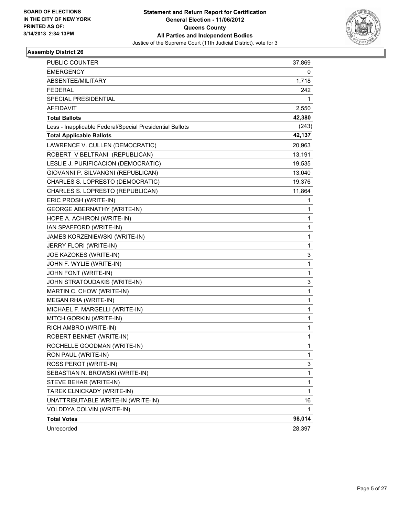

| <b>PUBLIC COUNTER</b>                                    | 37,869 |
|----------------------------------------------------------|--------|
| <b>EMERGENCY</b>                                         | 0      |
| ABSENTEE/MILITARY                                        | 1,718  |
| <b>FEDERAL</b>                                           | 242    |
| SPECIAL PRESIDENTIAL                                     | 1      |
| <b>AFFIDAVIT</b>                                         | 2,550  |
| <b>Total Ballots</b>                                     | 42,380 |
| Less - Inapplicable Federal/Special Presidential Ballots | (243)  |
| <b>Total Applicable Ballots</b>                          | 42,137 |
| LAWRENCE V. CULLEN (DEMOCRATIC)                          | 20,963 |
| ROBERT V BELTRANI (REPUBLICAN)                           | 13,191 |
| LESLIE J. PURIFICACION (DEMOCRATIC)                      | 19,535 |
| GIOVANNI P. SILVANGNI (REPUBLICAN)                       | 13,040 |
| CHARLES S. LOPRESTO (DEMOCRATIC)                         | 19,376 |
| CHARLES S. LOPRESTO (REPUBLICAN)                         | 11,864 |
| ERIC PROSH (WRITE-IN)                                    | 1      |
| <b>GEORGE ABERNATHY (WRITE-IN)</b>                       | 1      |
| HOPE A. ACHIRON (WRITE-IN)                               | 1      |
| IAN SPAFFORD (WRITE-IN)                                  | 1      |
| JAMES KORZENIEWSKI (WRITE-IN)                            | 1      |
| JERRY FLORI (WRITE-IN)                                   | 1      |
| JOE KAZOKES (WRITE-IN)                                   | 3      |
| JOHN F. WYLIE (WRITE-IN)                                 | 1      |
| JOHN FONT (WRITE-IN)                                     | 1      |
| JOHN STRATOUDAKIS (WRITE-IN)                             | 3      |
| MARTIN C. CHOW (WRITE-IN)                                | 1      |
| MEGAN RHA (WRITE-IN)                                     | 1      |
| MICHAEL F. MARGELLI (WRITE-IN)                           | 1      |
| MITCH GORKIN (WRITE-IN)                                  | 1      |
| RICH AMBRO (WRITE-IN)                                    | 1      |
| ROBERT BENNET (WRITE-IN)                                 | 1      |
| ROCHELLE GOODMAN (WRITE-IN)                              | 1      |
| RON PAUL (WRITE-IN)                                      | 1      |
| ROSS PEROT (WRITE-IN)                                    | 3      |
| SEBASTIAN N. BROWSKI (WRITE-IN)                          | 1      |
| STEVE BEHAR (WRITE-IN)                                   | 1      |
| TAREK ELNICKADY (WRITE-IN)                               | 1      |
| UNATTRIBUTABLE WRITE-IN (WRITE-IN)                       | 16     |
| VOLDDYA COLVIN (WRITE-IN)                                | 1      |
| <b>Total Votes</b>                                       | 98,014 |
| Unrecorded                                               | 28,397 |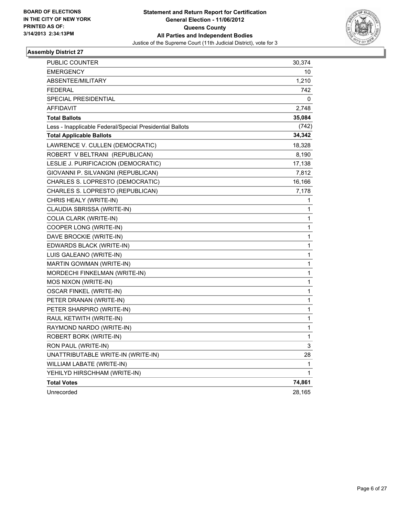

| PUBLIC COUNTER                                           | 30,374 |
|----------------------------------------------------------|--------|
| <b>EMERGENCY</b>                                         | 10     |
| ABSENTEE/MILITARY                                        | 1,210  |
| <b>FEDERAL</b>                                           | 742    |
| SPECIAL PRESIDENTIAL                                     | 0      |
| <b>AFFIDAVIT</b>                                         | 2,748  |
| <b>Total Ballots</b>                                     | 35,084 |
| Less - Inapplicable Federal/Special Presidential Ballots | (742)  |
| <b>Total Applicable Ballots</b>                          | 34,342 |
| LAWRENCE V. CULLEN (DEMOCRATIC)                          | 18,328 |
| ROBERT V BELTRANI (REPUBLICAN)                           | 8,190  |
| LESLIE J. PURIFICACION (DEMOCRATIC)                      | 17,138 |
| GIOVANNI P. SILVANGNI (REPUBLICAN)                       | 7,812  |
| CHARLES S. LOPRESTO (DEMOCRATIC)                         | 16,166 |
| CHARLES S. LOPRESTO (REPUBLICAN)                         | 7,178  |
| CHRIS HEALY (WRITE-IN)                                   | 1      |
| CLAUDIA SBRISSA (WRITE-IN)                               | 1      |
| COLIA CLARK (WRITE-IN)                                   | 1      |
| COOPER LONG (WRITE-IN)                                   | 1      |
| DAVE BROCKIE (WRITE-IN)                                  | 1      |
| EDWARDS BLACK (WRITE-IN)                                 | 1      |
| LUIS GALEANO (WRITE-IN)                                  | 1      |
| MARTIN GOWMAN (WRITE-IN)                                 | 1      |
| MORDECHI FINKELMAN (WRITE-IN)                            | 1      |
| MOS NIXON (WRITE-IN)                                     | 1      |
| OSCAR FINKEL (WRITE-IN)                                  | 1      |
| PETER DRANAN (WRITE-IN)                                  | 1      |
| PETER SHARPIRO (WRITE-IN)                                | 1      |
| RAUL KETWITH (WRITE-IN)                                  | 1      |
| RAYMOND NARDO (WRITE-IN)                                 | 1      |
| ROBERT BORK (WRITE-IN)                                   | 1      |
| RON PAUL (WRITE-IN)                                      | 3      |
| UNATTRIBUTABLE WRITE-IN (WRITE-IN)                       | 28     |
| WILLIAM LABATE (WRITE-IN)                                | 1      |
| YEHILYD HIRSCHHAM (WRITE-IN)                             | 1      |
| <b>Total Votes</b>                                       | 74,861 |
| Unrecorded                                               | 28,165 |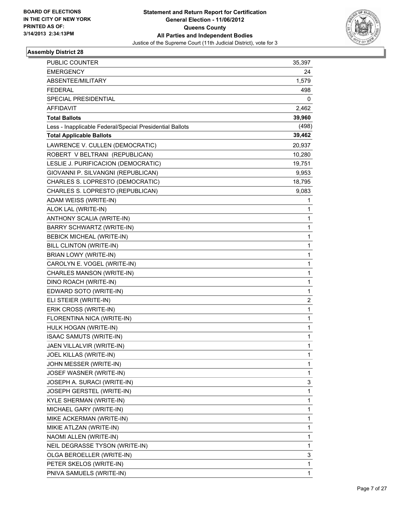

| PUBLIC COUNTER                                           | 35,397 |
|----------------------------------------------------------|--------|
| <b>EMERGENCY</b>                                         | 24     |
| ABSENTEE/MILITARY                                        | 1,579  |
| <b>FEDERAL</b>                                           | 498    |
| SPECIAL PRESIDENTIAL                                     | 0      |
| <b>AFFIDAVIT</b>                                         | 2,462  |
| <b>Total Ballots</b>                                     | 39,960 |
| Less - Inapplicable Federal/Special Presidential Ballots | (498)  |
| <b>Total Applicable Ballots</b>                          | 39,462 |
| LAWRENCE V. CULLEN (DEMOCRATIC)                          | 20,937 |
| ROBERT V BELTRANI (REPUBLICAN)                           | 10,280 |
| LESLIE J. PURIFICACION (DEMOCRATIC)                      | 19,751 |
| GIOVANNI P. SILVANGNI (REPUBLICAN)                       | 9,953  |
| CHARLES S. LOPRESTO (DEMOCRATIC)                         | 18,795 |
| CHARLES S. LOPRESTO (REPUBLICAN)                         | 9,083  |
| ADAM WEISS (WRITE-IN)                                    | 1      |
| ALOK LAL (WRITE-IN)                                      | 1      |
| ANTHONY SCALIA (WRITE-IN)                                | 1      |
| <b>BARRY SCHWARTZ (WRITE-IN)</b>                         | 1      |
| <b>BEBICK MICHEAL (WRITE-IN)</b>                         | 1      |
| BILL CLINTON (WRITE-IN)                                  | 1      |
| BRIAN LOWY (WRITE-IN)                                    | 1      |
| CAROLYN E. VOGEL (WRITE-IN)                              | 1      |
| CHARLES MANSON (WRITE-IN)                                | 1      |
| DINO ROACH (WRITE-IN)                                    | 1      |
| EDWARD SOTO (WRITE-IN)                                   | 1      |
| ELI STEIER (WRITE-IN)                                    | 2      |
| ERIK CROSS (WRITE-IN)                                    | 1      |
| FLORENTINA NICA (WRITE-IN)                               | 1      |
| HULK HOGAN (WRITE-IN)                                    | 1      |
| ISAAC SAMUTS (WRITE-IN)                                  | 1      |
| JAEN VILLALVIR (WRITE-IN)                                | 1      |
| JOEL KILLAS (WRITE-IN)                                   | 1      |
| JOHN MESSER (WRITE-IN)                                   | 1      |
| JOSEF WASNER (WRITE-IN)                                  | 1      |
| JOSEPH A. SURACI (WRITE-IN)                              | 3      |
| JOSEPH GERSTEL (WRITE-IN)                                | 1      |
| KYLE SHERMAN (WRITE-IN)                                  | 1      |
| MICHAEL GARY (WRITE-IN)                                  | 1      |
| MIKE ACKERMAN (WRITE-IN)                                 | 1      |
| MIKIE ATLZAN (WRITE-IN)                                  | 1      |
| NAOMI ALLEN (WRITE-IN)                                   | 1      |
| NEIL DEGRASSE TYSON (WRITE-IN)                           | 1      |
| OLGA BEROELLER (WRITE-IN)                                | 3      |
| PETER SKELOS (WRITE-IN)                                  | 1      |
| PNIVA SAMUELS (WRITE-IN)                                 | 1      |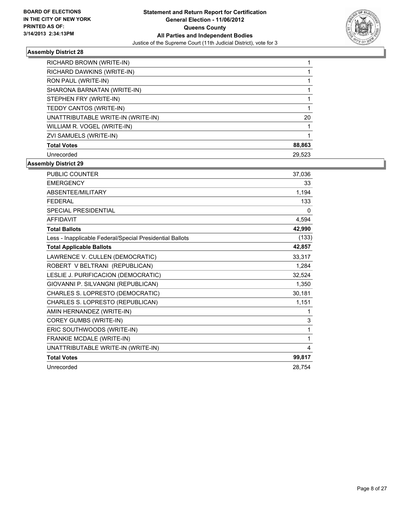

| RICHARD BROWN (WRITE-IN)           |        |
|------------------------------------|--------|
| RICHARD DAWKINS (WRITE-IN)         |        |
| RON PAUL (WRITE-IN)                |        |
| SHARONA BARNATAN (WRITE-IN)        |        |
| STEPHEN FRY (WRITE-IN)             |        |
| TEDDY CANTOS (WRITE-IN)            |        |
| UNATTRIBUTABLE WRITE-IN (WRITE-IN) | 20     |
| WILLIAM R. VOGEL (WRITE-IN)        |        |
| ZVI SAMUELS (WRITE-IN)             |        |
| <b>Total Votes</b>                 | 88,863 |
| Unrecorded                         | 29.523 |

| <b>PUBLIC COUNTER</b>                                    | 37,036       |
|----------------------------------------------------------|--------------|
| <b>EMERGENCY</b>                                         | 33           |
| ABSENTEE/MILITARY                                        | 1,194        |
| <b>FEDERAL</b>                                           | 133          |
| <b>SPECIAL PRESIDENTIAL</b>                              | $\Omega$     |
| <b>AFFIDAVIT</b>                                         | 4,594        |
| <b>Total Ballots</b>                                     | 42,990       |
| Less - Inapplicable Federal/Special Presidential Ballots | (133)        |
| <b>Total Applicable Ballots</b>                          | 42,857       |
| LAWRENCE V. CULLEN (DEMOCRATIC)                          | 33,317       |
| ROBERT V BELTRANI (REPUBLICAN)                           | 1,284        |
| LESLIE J. PURIFICACION (DEMOCRATIC)                      | 32,524       |
| GIOVANNI P. SILVANGNI (REPUBLICAN)                       | 1,350        |
| CHARLES S. LOPRESTO (DEMOCRATIC)                         | 30,181       |
| CHARLES S. LOPRESTO (REPUBLICAN)                         | 1,151        |
| AMIN HERNANDEZ (WRITE-IN)                                | 1            |
| COREY GUMBS (WRITE-IN)                                   | 3            |
| ERIC SOUTHWOODS (WRITE-IN)                               | 1            |
| FRANKIE MCDALE (WRITE-IN)                                | $\mathbf{1}$ |
| UNATTRIBUTABLE WRITE-IN (WRITE-IN)                       | 4            |
| <b>Total Votes</b>                                       | 99,817       |
| Unrecorded                                               | 28.754       |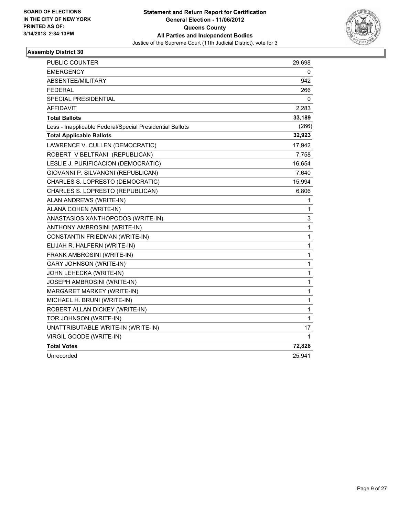

| PUBLIC COUNTER                                           | 29,698       |
|----------------------------------------------------------|--------------|
| <b>EMERGENCY</b>                                         | 0            |
| ABSENTEE/MILITARY                                        | 942          |
| FEDERAL                                                  | 266          |
| SPECIAL PRESIDENTIAL                                     | 0            |
| AFFIDAVIT                                                | 2,283        |
| <b>Total Ballots</b>                                     | 33,189       |
| Less - Inapplicable Federal/Special Presidential Ballots | (266)        |
| <b>Total Applicable Ballots</b>                          | 32,923       |
| LAWRENCE V. CULLEN (DEMOCRATIC)                          | 17,942       |
| ROBERT V BELTRANI (REPUBLICAN)                           | 7,758        |
| LESLIE J. PURIFICACION (DEMOCRATIC)                      | 16,654       |
| GIOVANNI P. SILVANGNI (REPUBLICAN)                       | 7,640        |
| CHARLES S. LOPRESTO (DEMOCRATIC)                         | 15,994       |
| CHARLES S. LOPRESTO (REPUBLICAN)                         | 6,806        |
| ALAN ANDREWS (WRITE-IN)                                  | 1            |
| ALANA COHEN (WRITE-IN)                                   | 1            |
| ANASTASIOS XANTHOPODOS (WRITE-IN)                        | 3            |
| ANTHONY AMBROSINI (WRITE-IN)                             | 1            |
| CONSTANTIN FRIEDMAN (WRITE-IN)                           | $\mathbf{1}$ |
| ELIJAH R. HALFERN (WRITE-IN)                             | 1            |
| FRANK AMBROSINI (WRITE-IN)                               | 1            |
| <b>GARY JOHNSON (WRITE-IN)</b>                           | 1            |
| JOHN LEHECKA (WRITE-IN)                                  | $\mathbf{1}$ |
| <b>JOSEPH AMBROSINI (WRITE-IN)</b>                       | 1            |
| MARGARET MARKEY (WRITE-IN)                               | 1            |
| MICHAEL H. BRUNI (WRITE-IN)                              | 1            |
| ROBERT ALLAN DICKEY (WRITE-IN)                           | 1            |
| TOR JOHNSON (WRITE-IN)                                   | $\mathbf 1$  |
| UNATTRIBUTABLE WRITE-IN (WRITE-IN)                       | 17           |
| VIRGIL GOODE (WRITE-IN)                                  | 1            |
| <b>Total Votes</b>                                       | 72,828       |
| Unrecorded                                               | 25,941       |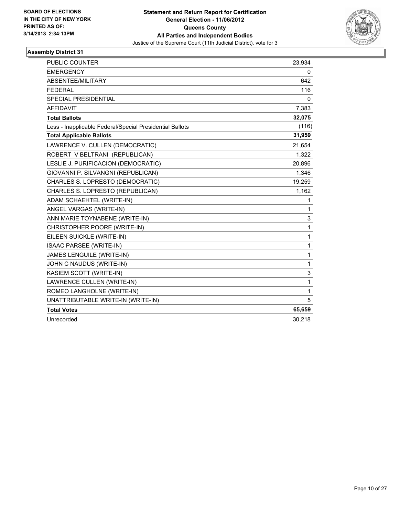

| <b>PUBLIC COUNTER</b>                                    | 23,934      |
|----------------------------------------------------------|-------------|
| <b>EMERGENCY</b>                                         | 0           |
| ABSENTEE/MILITARY                                        | 642         |
| <b>FEDERAL</b>                                           | 116         |
| <b>SPECIAL PRESIDENTIAL</b>                              | 0           |
| <b>AFFIDAVIT</b>                                         | 7,383       |
| <b>Total Ballots</b>                                     | 32,075      |
| Less - Inapplicable Federal/Special Presidential Ballots | (116)       |
| <b>Total Applicable Ballots</b>                          | 31,959      |
| LAWRENCE V. CULLEN (DEMOCRATIC)                          | 21,654      |
| ROBERT V BELTRANI (REPUBLICAN)                           | 1,322       |
| LESLIE J. PURIFICACION (DEMOCRATIC)                      | 20,896      |
| GIOVANNI P. SILVANGNI (REPUBLICAN)                       | 1,346       |
| CHARLES S. LOPRESTO (DEMOCRATIC)                         | 19,259      |
| CHARLES S. LOPRESTO (REPUBLICAN)                         | 1,162       |
| ADAM SCHAEHTEL (WRITE-IN)                                | 1           |
| ANGEL VARGAS (WRITE-IN)                                  | 1           |
| ANN MARIE TOYNABENE (WRITE-IN)                           | 3           |
| CHRISTOPHER POORE (WRITE-IN)                             | 1           |
| EILEEN SUICKLE (WRITE-IN)                                | 1           |
| ISAAC PARSEE (WRITE-IN)                                  | 1           |
| JAMES LENGUILE (WRITE-IN)                                | 1           |
| JOHN C NAUDUS (WRITE-IN)                                 | 1           |
| KASIEM SCOTT (WRITE-IN)                                  | 3           |
| LAWRENCE CULLEN (WRITE-IN)                               | $\mathbf 1$ |
| ROMEO LANGHOLNE (WRITE-IN)                               | 1           |
| UNATTRIBUTABLE WRITE-IN (WRITE-IN)                       | 5           |
| <b>Total Votes</b>                                       | 65,659      |
| Unrecorded                                               | 30,218      |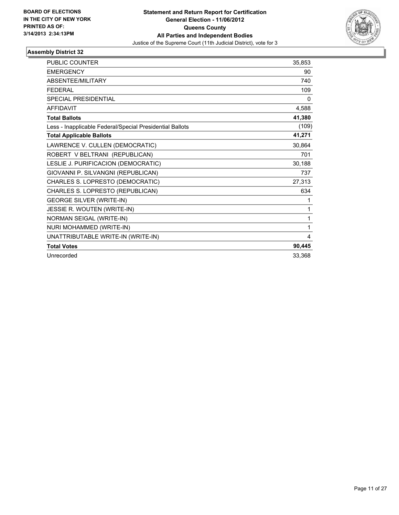

| <b>PUBLIC COUNTER</b>                                    | 35,853 |
|----------------------------------------------------------|--------|
| <b>EMERGENCY</b>                                         | 90     |
| <b>ABSENTEE/MILITARY</b>                                 | 740    |
| <b>FEDERAL</b>                                           | 109    |
| <b>SPECIAL PRESIDENTIAL</b>                              | 0      |
| <b>AFFIDAVIT</b>                                         | 4,588  |
| <b>Total Ballots</b>                                     | 41,380 |
| Less - Inapplicable Federal/Special Presidential Ballots | (109)  |
| <b>Total Applicable Ballots</b>                          | 41,271 |
| LAWRENCE V. CULLEN (DEMOCRATIC)                          | 30,864 |
| ROBERT V BELTRANI (REPUBLICAN)                           | 701    |
| LESLIE J. PURIFICACION (DEMOCRATIC)                      | 30,188 |
| GIOVANNI P. SILVANGNI (REPUBLICAN)                       | 737    |
| CHARLES S. LOPRESTO (DEMOCRATIC)                         | 27,313 |
| CHARLES S. LOPRESTO (REPUBLICAN)                         | 634    |
| <b>GEORGE SILVER (WRITE-IN)</b>                          | 1      |
| JESSIE R. WOUTEN (WRITE-IN)                              | 1      |
| NORMAN SEIGAL (WRITE-IN)                                 | 1      |
| NURI MOHAMMED (WRITE-IN)                                 | 1      |
| UNATTRIBUTABLE WRITE-IN (WRITE-IN)                       | 4      |
| <b>Total Votes</b>                                       | 90,445 |
| Unrecorded                                               | 33,368 |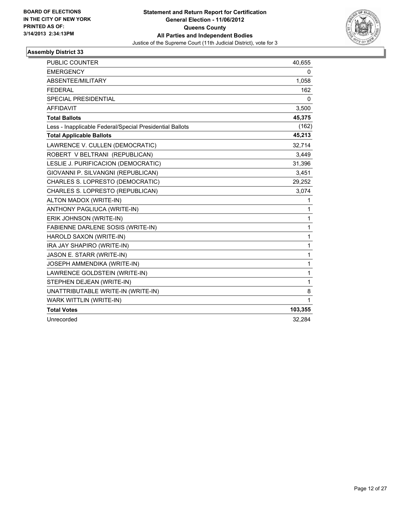

| <b>PUBLIC COUNTER</b>                                    | 40,655  |
|----------------------------------------------------------|---------|
| <b>EMERGENCY</b>                                         | 0       |
| ABSENTEE/MILITARY                                        | 1,058   |
| <b>FEDERAL</b>                                           | 162     |
| SPECIAL PRESIDENTIAL                                     | 0       |
| <b>AFFIDAVIT</b>                                         | 3,500   |
| <b>Total Ballots</b>                                     | 45,375  |
| Less - Inapplicable Federal/Special Presidential Ballots | (162)   |
| <b>Total Applicable Ballots</b>                          | 45,213  |
| LAWRENCE V. CULLEN (DEMOCRATIC)                          | 32,714  |
| ROBERT V BELTRANI (REPUBLICAN)                           | 3,449   |
| LESLIE J. PURIFICACION (DEMOCRATIC)                      | 31,396  |
| GIOVANNI P. SILVANGNI (REPUBLICAN)                       | 3,451   |
| CHARLES S. LOPRESTO (DEMOCRATIC)                         | 29,252  |
| CHARLES S. LOPRESTO (REPUBLICAN)                         | 3,074   |
| ALTON MADOX (WRITE-IN)                                   | 1       |
| ANTHONY PAGLIUCA (WRITE-IN)                              | 1       |
| ERIK JOHNSON (WRITE-IN)                                  | 1       |
| FABIENNE DARLENE SOSIS (WRITE-IN)                        | 1       |
| HAROLD SAXON (WRITE-IN)                                  | 1       |
| IRA JAY SHAPIRO (WRITE-IN)                               | 1       |
| JASON E. STARR (WRITE-IN)                                | 1       |
| JOSEPH AMMENDIKA (WRITE-IN)                              | 1       |
| LAWRENCE GOLDSTEIN (WRITE-IN)                            | 1       |
| STEPHEN DEJEAN (WRITE-IN)                                | 1       |
| UNATTRIBUTABLE WRITE-IN (WRITE-IN)                       | 8       |
| WARK WITTLIN (WRITE-IN)                                  | 1       |
| <b>Total Votes</b>                                       | 103,355 |
| Unrecorded                                               | 32,284  |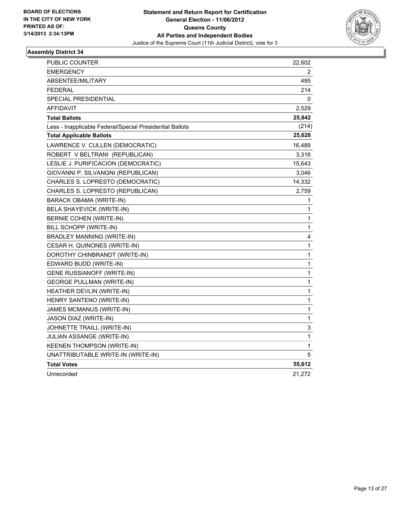

| PUBLIC COUNTER                                           | 22,602      |
|----------------------------------------------------------|-------------|
| <b>EMERGENCY</b>                                         | 2           |
| <b>ABSENTEE/MILITARY</b>                                 | 495         |
| <b>FEDERAL</b>                                           | 214         |
| SPECIAL PRESIDENTIAL                                     | 0           |
| <b>AFFIDAVIT</b>                                         | 2,529       |
| <b>Total Ballots</b>                                     | 25,842      |
| Less - Inapplicable Federal/Special Presidential Ballots | (214)       |
| <b>Total Applicable Ballots</b>                          | 25,628      |
| LAWRENCE V. CULLEN (DEMOCRATIC)                          | 16,489      |
| ROBERT V BELTRANI (REPUBLICAN)                           | 3,316       |
| LESLIE J. PURIFICACION (DEMOCRATIC)                      | 15,643      |
| GIOVANNI P. SILVANGNI (REPUBLICAN)                       | 3,046       |
| CHARLES S. LOPRESTO (DEMOCRATIC)                         | 14,332      |
| CHARLES S. LOPRESTO (REPUBLICAN)                         | 2,759       |
| <b>BARACK OBAMA (WRITE-IN)</b>                           | 1           |
| <b>BELA SHAYEVICK (WRITE-IN)</b>                         | 1           |
| BERNIE COHEN (WRITE-IN)                                  | 1           |
| BILL SCHOPP (WRITE-IN)                                   | 1           |
| <b>BRADLEY MANNING (WRITE-IN)</b>                        | 4           |
| CESAR H. QUINONES (WRITE-IN)                             | $\mathbf 1$ |
| DOROTHY CHINBRANDT (WRITE-IN)                            | 1           |
| EDWARD BUDD (WRITE-IN)                                   | 1           |
| <b>GENE RUSSIANOFF (WRITE-IN)</b>                        | 1           |
| <b>GEORGE PULLMAN (WRITE-IN)</b>                         | 1           |
| HEATHER DEVLIN (WRITE-IN)                                | 1           |
| HENRY SANTENO (WRITE-IN)                                 | 1           |
| JAMES MCMANUS (WRITE-IN)                                 | 1           |
| <b>JASON DIAZ (WRITE-IN)</b>                             | 1           |
| JOHNETTE TRAILL (WRITE-IN)                               | 3           |
| JULIAN ASSANGE (WRITE-IN)                                | $\mathbf 1$ |
| KEENEN THOMPSON (WRITE-IN)                               | 1           |
| UNATTRIBUTABLE WRITE-IN (WRITE-IN)                       | 5           |
| <b>Total Votes</b>                                       | 55,612      |
| Unrecorded                                               | 21,272      |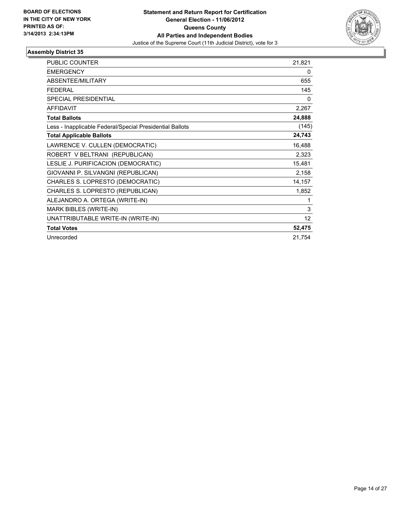

| PUBLIC COUNTER                                           | 21,821 |
|----------------------------------------------------------|--------|
| <b>EMERGENCY</b>                                         | 0      |
| ABSENTEE/MILITARY                                        | 655    |
| <b>FEDERAL</b>                                           | 145    |
| <b>SPECIAL PRESIDENTIAL</b>                              | 0      |
| <b>AFFIDAVIT</b>                                         | 2,267  |
| <b>Total Ballots</b>                                     | 24,888 |
| Less - Inapplicable Federal/Special Presidential Ballots | (145)  |
| <b>Total Applicable Ballots</b>                          | 24,743 |
| LAWRENCE V. CULLEN (DEMOCRATIC)                          | 16,488 |
| ROBERT V BELTRANI (REPUBLICAN)                           | 2,323  |
| LESLIE J. PURIFICACION (DEMOCRATIC)                      | 15,481 |
| GIOVANNI P. SILVANGNI (REPUBLICAN)                       | 2,158  |
| CHARLES S. LOPRESTO (DEMOCRATIC)                         | 14,157 |
| CHARLES S. LOPRESTO (REPUBLICAN)                         | 1,852  |
| ALEJANDRO A. ORTEGA (WRITE-IN)                           | 1      |
| MARK BIBLES (WRITE-IN)                                   | 3      |
| UNATTRIBUTABLE WRITE-IN (WRITE-IN)                       | 12     |
| <b>Total Votes</b>                                       | 52,475 |
| Unrecorded                                               | 21,754 |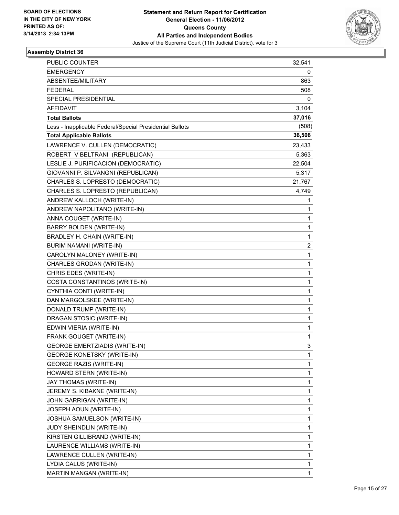

| <b>PUBLIC COUNTER</b>                                    | 32,541 |
|----------------------------------------------------------|--------|
| <b>EMERGENCY</b>                                         | 0      |
| ABSENTEE/MILITARY                                        | 863    |
| <b>FEDERAL</b>                                           | 508    |
| SPECIAL PRESIDENTIAL                                     | 0      |
| AFFIDAVIT                                                | 3,104  |
| <b>Total Ballots</b>                                     | 37,016 |
| Less - Inapplicable Federal/Special Presidential Ballots | (508)  |
| <b>Total Applicable Ballots</b>                          | 36,508 |
| LAWRENCE V. CULLEN (DEMOCRATIC)                          | 23,433 |
| ROBERT V BELTRANI (REPUBLICAN)                           | 5,363  |
| LESLIE J. PURIFICACION (DEMOCRATIC)                      | 22,504 |
| GIOVANNI P. SILVANGNI (REPUBLICAN)                       | 5,317  |
| CHARLES S. LOPRESTO (DEMOCRATIC)                         | 21,767 |
| CHARLES S. LOPRESTO (REPUBLICAN)                         | 4,749  |
| ANDREW KALLOCH (WRITE-IN)                                | 1      |
| ANDREW NAPOLITANO (WRITE-IN)                             | 1      |
| ANNA COUGET (WRITE-IN)                                   | 1      |
| BARRY BOLDEN (WRITE-IN)                                  | 1      |
| BRADLEY H. CHAIN (WRITE-IN)                              | 1      |
| BURIM NAMANI (WRITE-IN)                                  | 2      |
| CAROLYN MALONEY (WRITE-IN)                               | 1      |
| CHARLES GRODAN (WRITE-IN)                                | 1      |
| CHRIS EDES (WRITE-IN)                                    | 1      |
| COSTA CONSTANTINOS (WRITE-IN)                            | 1      |
| CYNTHIA CONTI (WRITE-IN)                                 | 1      |
| DAN MARGOLSKEE (WRITE-IN)                                | 1      |
| DONALD TRUMP (WRITE-IN)                                  | 1      |
| DRAGAN STOSIC (WRITE-IN)                                 | 1      |
| EDWIN VIERIA (WRITE-IN)                                  | 1      |
| FRANK GOUGET (WRITE-IN)                                  | 1      |
| <b>GEORGE EMERTZIADIS (WRITE-IN)</b>                     | 3      |
| <b>GEORGE KONETSKY (WRITE-IN)</b>                        | 1      |
| <b>GEORGE RAZIS (WRITE-IN)</b>                           | 1      |
| HOWARD STERN (WRITE-IN)                                  | 1      |
| JAY THOMAS (WRITE-IN)                                    | 1      |
| JEREMY S. KIBAKNE (WRITE-IN)                             | 1      |
| JOHN GARRIGAN (WRITE-IN)                                 | 1      |
| JOSEPH AOUN (WRITE-IN)                                   | 1      |
| JOSHUA SAMUELSON (WRITE-IN)                              | 1      |
| JUDY SHEINDLIN (WRITE-IN)                                | 1      |
| KIRSTEN GILLIBRAND (WRITE-IN)                            | 1      |
| LAURENCE WILLIAMS (WRITE-IN)                             | 1      |
| LAWRENCE CULLEN (WRITE-IN)                               | 1      |
| LYDIA CALUS (WRITE-IN)                                   | 1      |
| MARTIN MANGAN (WRITE-IN)                                 | 1      |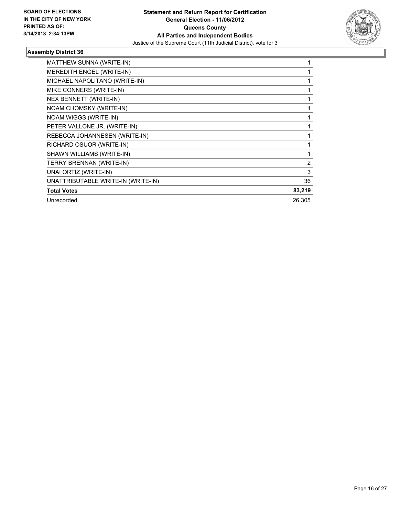

| MATTHEW SUNNA (WRITE-IN)           |                |
|------------------------------------|----------------|
| MEREDITH ENGEL (WRITE-IN)          |                |
| MICHAEL NAPOLITANO (WRITE-IN)      |                |
| MIKE CONNERS (WRITE-IN)            |                |
| NEX BENNETT (WRITE-IN)             |                |
| NOAM CHOMSKY (WRITE-IN)            |                |
| NOAM WIGGS (WRITE-IN)              |                |
| PETER VALLONE JR. (WRITE-IN)       |                |
| REBECCA JOHANNESEN (WRITE-IN)      |                |
| RICHARD OSUOR (WRITE-IN)           |                |
| SHAWN WILLIAMS (WRITE-IN)          |                |
| TERRY BRENNAN (WRITE-IN)           | $\overline{2}$ |
| UNAI ORTIZ (WRITE-IN)              | 3              |
| UNATTRIBUTABLE WRITE-IN (WRITE-IN) | 36             |
| <b>Total Votes</b>                 | 83,219         |
| Unrecorded                         | 26.305         |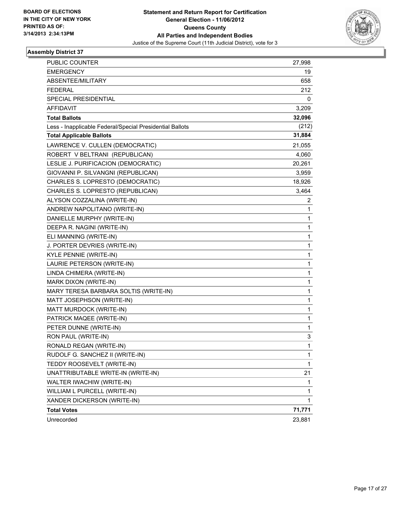

| PUBLIC COUNTER                                           | 27,998       |
|----------------------------------------------------------|--------------|
| EMERGENCY                                                | 19           |
| ABSENTEE/MILITARY                                        | 658          |
| FEDERAL                                                  | 212          |
| SPECIAL PRESIDENTIAL                                     | 0            |
| <b>AFFIDAVIT</b>                                         | 3,209        |
| <b>Total Ballots</b>                                     | 32,096       |
| Less - Inapplicable Federal/Special Presidential Ballots | (212)        |
| <b>Total Applicable Ballots</b>                          | 31,884       |
| LAWRENCE V. CULLEN (DEMOCRATIC)                          | 21,055       |
| ROBERT V BELTRANI (REPUBLICAN)                           | 4,060        |
| LESLIE J. PURIFICACION (DEMOCRATIC)                      | 20,261       |
| GIOVANNI P. SILVANGNI (REPUBLICAN)                       | 3,959        |
| CHARLES S. LOPRESTO (DEMOCRATIC)                         | 18,926       |
| CHARLES S. LOPRESTO (REPUBLICAN)                         | 3,464        |
| ALYSON COZZALINA (WRITE-IN)                              | 2            |
| ANDREW NAPOLITANO (WRITE-IN)                             | 1            |
| DANIELLE MURPHY (WRITE-IN)                               | 1            |
| DEEPA R. NAGINI (WRITE-IN)                               | 1            |
| ELI MANNING (WRITE-IN)                                   | 1            |
| J. PORTER DEVRIES (WRITE-IN)                             | 1            |
| KYLE PENNIE (WRITE-IN)                                   | 1            |
| LAURIE PETERSON (WRITE-IN)                               | 1            |
| LINDA CHIMERA (WRITE-IN)                                 | 1            |
| MARK DIXON (WRITE-IN)                                    | 1            |
| MARY TERESA BARBARA SOLTIS (WRITE-IN)                    | 1            |
| MATT JOSEPHSON (WRITE-IN)                                | 1            |
| MATT MURDOCK (WRITE-IN)                                  | 1            |
| PATRICK MAQEE (WRITE-IN)                                 | 1            |
| PETER DUNNE (WRITE-IN)                                   | 1            |
| RON PAUL (WRITE-IN)                                      | 3            |
| RONALD REGAN (WRITE-IN)                                  | 1            |
| RUDOLF G. SANCHEZ II (WRITE-IN)                          | 1            |
| TEDDY ROOSEVELT (WRITE-IN)                               | $\mathbf{1}$ |
| UNATTRIBUTABLE WRITE-IN (WRITE-IN)                       | 21           |
| WALTER IWACHIW (WRITE-IN)                                | 1            |
| WILLIAM L PURCELL (WRITE-IN)                             | 1            |
| XANDER DICKERSON (WRITE-IN)                              | 1            |
| <b>Total Votes</b>                                       | 71,771       |
| Unrecorded                                               | 23,881       |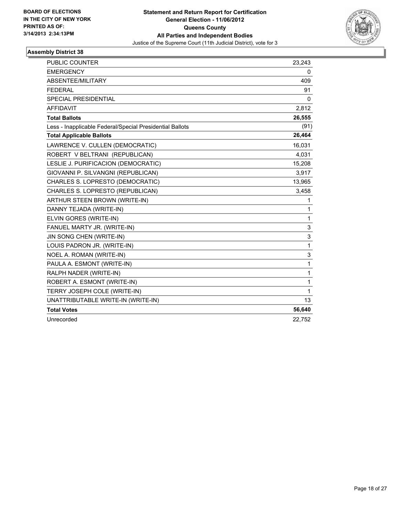

| <b>PUBLIC COUNTER</b>                                    | 23,243   |
|----------------------------------------------------------|----------|
| <b>EMERGENCY</b>                                         | 0        |
| ABSENTEE/MILITARY                                        | 409      |
| <b>FEDERAL</b>                                           | 91       |
| SPECIAL PRESIDENTIAL                                     | $\Omega$ |
| <b>AFFIDAVIT</b>                                         | 2,812    |
| <b>Total Ballots</b>                                     | 26,555   |
| Less - Inapplicable Federal/Special Presidential Ballots | (91)     |
| <b>Total Applicable Ballots</b>                          | 26,464   |
| LAWRENCE V. CULLEN (DEMOCRATIC)                          | 16,031   |
| ROBERT V BELTRANI (REPUBLICAN)                           | 4,031    |
| LESLIE J. PURIFICACION (DEMOCRATIC)                      | 15,208   |
| GIOVANNI P. SILVANGNI (REPUBLICAN)                       | 3,917    |
| CHARLES S. LOPRESTO (DEMOCRATIC)                         | 13,965   |
| CHARLES S. LOPRESTO (REPUBLICAN)                         | 3,458    |
| ARTHUR STEEN BROWN (WRITE-IN)                            | 1        |
| DANNY TEJADA (WRITE-IN)                                  | 1        |
| ELVIN GORES (WRITE-IN)                                   | 1        |
| FANUEL MARTY JR. (WRITE-IN)                              | 3        |
| JIN SONG CHEN (WRITE-IN)                                 | 3        |
| LOUIS PADRON JR. (WRITE-IN)                              | 1        |
| NOEL A. ROMAN (WRITE-IN)                                 | 3        |
| PAULA A. ESMONT (WRITE-IN)                               | 1        |
| RALPH NADER (WRITE-IN)                                   | 1        |
| ROBERT A. ESMONT (WRITE-IN)                              | 1        |
| TERRY JOSEPH COLE (WRITE-IN)                             | 1        |
| UNATTRIBUTABLE WRITE-IN (WRITE-IN)                       | 13       |
| <b>Total Votes</b>                                       | 56,640   |
| Unrecorded                                               | 22,752   |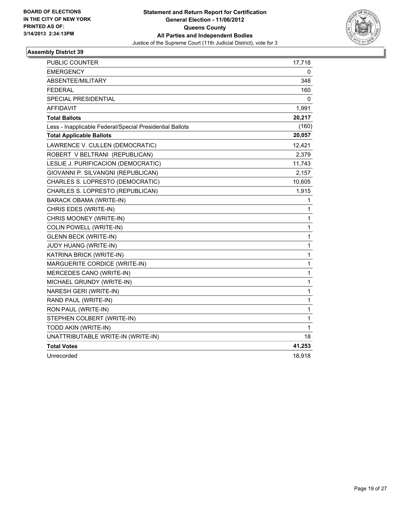

| PUBLIC COUNTER                                           | 17,718       |
|----------------------------------------------------------|--------------|
| <b>EMERGENCY</b>                                         | 0            |
| ABSENTEE/MILITARY                                        | 348          |
| <b>FEDERAL</b>                                           | 160          |
| <b>SPECIAL PRESIDENTIAL</b>                              | 0            |
| <b>AFFIDAVIT</b>                                         | 1,991        |
| <b>Total Ballots</b>                                     | 20,217       |
| Less - Inapplicable Federal/Special Presidential Ballots | (160)        |
| <b>Total Applicable Ballots</b>                          | 20,057       |
| LAWRENCE V. CULLEN (DEMOCRATIC)                          | 12,421       |
| ROBERT V BELTRANI (REPUBLICAN)                           | 2,379        |
| LESLIE J. PURIFICACION (DEMOCRATIC)                      | 11,743       |
| GIOVANNI P. SILVANGNI (REPUBLICAN)                       | 2,157        |
| CHARLES S. LOPRESTO (DEMOCRATIC)                         | 10,605       |
| CHARLES S. LOPRESTO (REPUBLICAN)                         | 1,915        |
| BARACK OBAMA (WRITE-IN)                                  | 1            |
| CHRIS EDES (WRITE-IN)                                    | 1            |
| CHRIS MOONEY (WRITE-IN)                                  | 1            |
| COLIN POWELL (WRITE-IN)                                  | 1            |
| <b>GLENN BECK (WRITE-IN)</b>                             | 1            |
| JUDY HUANG (WRITE-IN)                                    | 1            |
| KATRINA BRICK (WRITE-IN)                                 | 1            |
| MARGUERITE CORDICE (WRITE-IN)                            | 1            |
| MERCEDES CANO (WRITE-IN)                                 | 1            |
| MICHAEL GRUNDY (WRITE-IN)                                | 1            |
| NARESH GERI (WRITE-IN)                                   | 1            |
| RAND PAUL (WRITE-IN)                                     | 1            |
| RON PAUL (WRITE-IN)                                      | $\mathbf{1}$ |
| STEPHEN COLBERT (WRITE-IN)                               | 1            |
| TODD AKIN (WRITE-IN)                                     | 1            |
| UNATTRIBUTABLE WRITE-IN (WRITE-IN)                       | 18           |
| <b>Total Votes</b>                                       | 41,253       |
| Unrecorded                                               | 18,918       |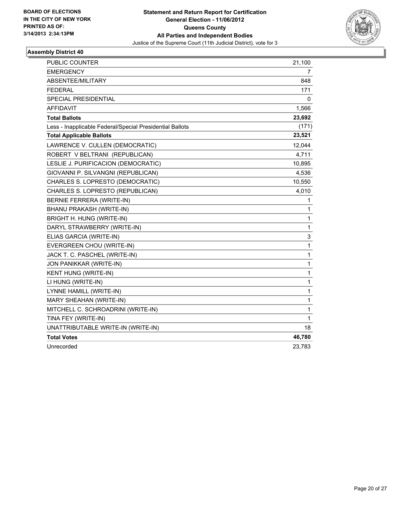

| PUBLIC COUNTER                                           | 21,100       |
|----------------------------------------------------------|--------------|
| <b>EMERGENCY</b>                                         | 7            |
| ABSENTEE/MILITARY                                        | 848          |
| <b>FEDERAL</b>                                           | 171          |
| SPECIAL PRESIDENTIAL                                     | 0            |
| <b>AFFIDAVIT</b>                                         | 1,566        |
| <b>Total Ballots</b>                                     | 23,692       |
| Less - Inapplicable Federal/Special Presidential Ballots | (171)        |
| <b>Total Applicable Ballots</b>                          | 23,521       |
| LAWRENCE V. CULLEN (DEMOCRATIC)                          | 12,044       |
| ROBERT V BELTRANI (REPUBLICAN)                           | 4,711        |
| LESLIE J. PURIFICACION (DEMOCRATIC)                      | 10,895       |
| GIOVANNI P. SILVANGNI (REPUBLICAN)                       | 4,536        |
| CHARLES S. LOPRESTO (DEMOCRATIC)                         | 10,550       |
| CHARLES S. LOPRESTO (REPUBLICAN)                         | 4,010        |
| BERNIE FERRERA (WRITE-IN)                                | 1            |
| BHANU PRAKASH (WRITE-IN)                                 | 1            |
| BRIGHT H. HUNG (WRITE-IN)                                | 1            |
| DARYL STRAWBERRY (WRITE-IN)                              | $\mathbf{1}$ |
| ELIAS GARCIA (WRITE-IN)                                  | 3            |
| EVERGREEN CHOU (WRITE-IN)                                | $\mathbf{1}$ |
| JACK T. C. PASCHEL (WRITE-IN)                            | $\mathbf{1}$ |
| JON PANIKKAR (WRITE-IN)                                  | 1            |
| KENT HUNG (WRITE-IN)                                     | 1            |
| LI HUNG (WRITE-IN)                                       | $\mathbf 1$  |
| LYNNE HAMILL (WRITE-IN)                                  | $\mathbf 1$  |
| MARY SHEAHAN (WRITE-IN)                                  | $\mathbf{1}$ |
| MITCHELL C. SCHROADRINI (WRITE-IN)                       | 1            |
| TINA FEY (WRITE-IN)                                      | $\mathbf{1}$ |
| UNATTRIBUTABLE WRITE-IN (WRITE-IN)                       | 18           |
| <b>Total Votes</b>                                       | 46,780       |
| Unrecorded                                               | 23,783       |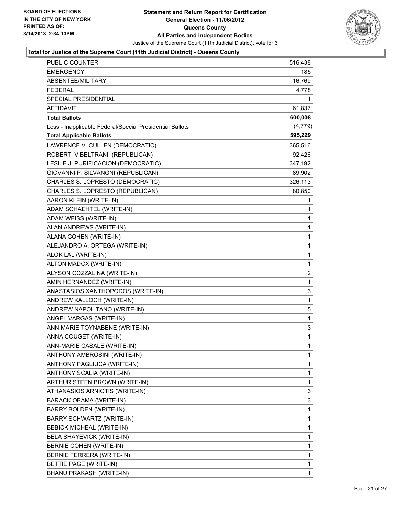

| PUBLIC COUNTER                                           | 516,438      |
|----------------------------------------------------------|--------------|
| <b>EMERGENCY</b>                                         | 185          |
| ABSENTEE/MILITARY                                        | 16,769       |
| <b>FEDERAL</b>                                           | 4,778        |
| SPECIAL PRESIDENTIAL                                     | 1            |
| <b>AFFIDAVIT</b>                                         | 61,837       |
| <b>Total Ballots</b>                                     | 600,008      |
| Less - Inapplicable Federal/Special Presidential Ballots | (4, 779)     |
| <b>Total Applicable Ballots</b>                          | 595,229      |
| LAWRENCE V. CULLEN (DEMOCRATIC)                          | 365,516      |
| ROBERT V BELTRANI (REPUBLICAN)                           | 92,426       |
| LESLIE J. PURIFICACION (DEMOCRATIC)                      | 347,192      |
| GIOVANNI P. SILVANGNI (REPUBLICAN)                       | 89,902       |
| CHARLES S. LOPRESTO (DEMOCRATIC)                         | 326,113      |
| CHARLES S. LOPRESTO (REPUBLICAN)                         | 80,850       |
| AARON KLEIN (WRITE-IN)                                   | 1            |
| ADAM SCHAEHTEL (WRITE-IN)                                | 1            |
| ADAM WEISS (WRITE-IN)                                    | 1            |
| ALAN ANDREWS (WRITE-IN)                                  | 1            |
| ALANA COHEN (WRITE-IN)                                   | 1            |
| ALEJANDRO A. ORTEGA (WRITE-IN)                           | 1            |
| ALOK LAL (WRITE-IN)                                      | $\mathbf{1}$ |
| ALTON MADOX (WRITE-IN)                                   | 1            |
| ALYSON COZZALINA (WRITE-IN)                              | 2            |
| AMIN HERNANDEZ (WRITE-IN)                                | 1            |
| ANASTASIOS XANTHOPODOS (WRITE-IN)                        | 3            |
| ANDREW KALLOCH (WRITE-IN)                                | 1            |
| ANDREW NAPOLITANO (WRITE-IN)                             | 5            |
| ANGEL VARGAS (WRITE-IN)                                  | 1            |
| ANN MARIE TOYNABENE (WRITE-IN)                           | 3            |
| ANNA COUGET (WRITE-IN)                                   | 1            |
| ANN-MARIE CASALE (WRITE-IN)                              | 1            |
| ANTHONY AMBROSINI (WRITE-IN)                             | 1            |
| ANTHONY PAGLIUCA (WRITE-IN)                              | 1            |
| ANTHONY SCALIA (WRITE-IN)                                | 1            |
| ARTHUR STEEN BROWN (WRITE-IN)                            | 1            |
| ATHANASIOS ARNIOTIS (WRITE-IN)                           | 3            |
| BARACK OBAMA (WRITE-IN)                                  | 3            |
| BARRY BOLDEN (WRITE-IN)                                  | 1            |
| BARRY SCHWARTZ (WRITE-IN)                                | 1            |
| <b>BEBICK MICHEAL (WRITE-IN)</b>                         | 1            |
| BELA SHAYEVICK (WRITE-IN)                                | 1            |
| BERNIE COHEN (WRITE-IN)                                  | 1            |
| BERNIE FERRERA (WRITE-IN)                                | 1            |
| BETTIE PAGE (WRITE-IN)                                   | 1            |
| BHANU PRAKASH (WRITE-IN)                                 | 1            |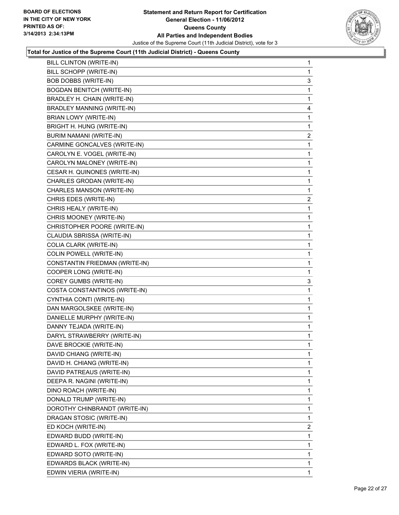

| BILL SCHOPP (WRITE-IN)<br>1<br>BOB DOBBS (WRITE-IN)<br>3<br><b>BOGDAN BENITCH (WRITE-IN)</b><br>1<br>BRADLEY H. CHAIN (WRITE-IN)<br>1<br><b>BRADLEY MANNING (WRITE-IN)</b><br>4<br>BRIAN LOWY (WRITE-IN)<br>1<br>BRIGHT H. HUNG (WRITE-IN)<br>1<br><b>BURIM NAMANI (WRITE-IN)</b><br>$\overline{2}$<br>CARMINE GONCALVES (WRITE-IN)<br>1<br>CAROLYN E. VOGEL (WRITE-IN)<br>1<br>CAROLYN MALONEY (WRITE-IN)<br>1<br>CESAR H. QUINONES (WRITE-IN)<br>1<br>CHARLES GRODAN (WRITE-IN)<br>1<br>CHARLES MANSON (WRITE-IN)<br>1<br>CHRIS EDES (WRITE-IN)<br>2<br>CHRIS HEALY (WRITE-IN)<br>1<br>CHRIS MOONEY (WRITE-IN)<br>1<br>CHRISTOPHER POORE (WRITE-IN)<br>1<br>CLAUDIA SBRISSA (WRITE-IN)<br>1<br>COLIA CLARK (WRITE-IN)<br>1<br>COLIN POWELL (WRITE-IN)<br>1<br>CONSTANTIN FRIEDMAN (WRITE-IN)<br>1<br>COOPER LONG (WRITE-IN)<br>1<br>COREY GUMBS (WRITE-IN)<br>3<br>COSTA CONSTANTINOS (WRITE-IN)<br>1<br>CYNTHIA CONTI (WRITE-IN)<br>1<br>DAN MARGOLSKEE (WRITE-IN)<br>1<br>DANIELLE MURPHY (WRITE-IN)<br>1<br>DANNY TEJADA (WRITE-IN)<br>1<br>DARYL STRAWBERRY (WRITE-IN)<br>1<br>DAVE BROCKIE (WRITE-IN)<br>1<br>DAVID CHIANG (WRITE-IN)<br>1<br>DAVID H. CHIANG (WRITE-IN)<br>1<br>DAVID PATREAUS (WRITE-IN)<br>1<br>DEEPA R. NAGINI (WRITE-IN)<br>1<br>DINO ROACH (WRITE-IN)<br>1<br>DONALD TRUMP (WRITE-IN)<br>1<br>DOROTHY CHINBRANDT (WRITE-IN)<br>1<br>DRAGAN STOSIC (WRITE-IN)<br>1<br>ED KOCH (WRITE-IN)<br>$\overline{a}$<br>EDWARD BUDD (WRITE-IN)<br>1<br>EDWARD L. FOX (WRITE-IN)<br>1<br>EDWARD SOTO (WRITE-IN)<br>1<br>EDWARDS BLACK (WRITE-IN)<br>1<br>EDWIN VIERIA (WRITE-IN)<br>1 | BILL CLINTON (WRITE-IN) | 1 |
|--------------------------------------------------------------------------------------------------------------------------------------------------------------------------------------------------------------------------------------------------------------------------------------------------------------------------------------------------------------------------------------------------------------------------------------------------------------------------------------------------------------------------------------------------------------------------------------------------------------------------------------------------------------------------------------------------------------------------------------------------------------------------------------------------------------------------------------------------------------------------------------------------------------------------------------------------------------------------------------------------------------------------------------------------------------------------------------------------------------------------------------------------------------------------------------------------------------------------------------------------------------------------------------------------------------------------------------------------------------------------------------------------------------------------------------------------------------------------------------------------------------------------------------------------------------------------------------------------------|-------------------------|---|
|                                                                                                                                                                                                                                                                                                                                                                                                                                                                                                                                                                                                                                                                                                                                                                                                                                                                                                                                                                                                                                                                                                                                                                                                                                                                                                                                                                                                                                                                                                                                                                                                        |                         |   |
|                                                                                                                                                                                                                                                                                                                                                                                                                                                                                                                                                                                                                                                                                                                                                                                                                                                                                                                                                                                                                                                                                                                                                                                                                                                                                                                                                                                                                                                                                                                                                                                                        |                         |   |
|                                                                                                                                                                                                                                                                                                                                                                                                                                                                                                                                                                                                                                                                                                                                                                                                                                                                                                                                                                                                                                                                                                                                                                                                                                                                                                                                                                                                                                                                                                                                                                                                        |                         |   |
|                                                                                                                                                                                                                                                                                                                                                                                                                                                                                                                                                                                                                                                                                                                                                                                                                                                                                                                                                                                                                                                                                                                                                                                                                                                                                                                                                                                                                                                                                                                                                                                                        |                         |   |
|                                                                                                                                                                                                                                                                                                                                                                                                                                                                                                                                                                                                                                                                                                                                                                                                                                                                                                                                                                                                                                                                                                                                                                                                                                                                                                                                                                                                                                                                                                                                                                                                        |                         |   |
|                                                                                                                                                                                                                                                                                                                                                                                                                                                                                                                                                                                                                                                                                                                                                                                                                                                                                                                                                                                                                                                                                                                                                                                                                                                                                                                                                                                                                                                                                                                                                                                                        |                         |   |
|                                                                                                                                                                                                                                                                                                                                                                                                                                                                                                                                                                                                                                                                                                                                                                                                                                                                                                                                                                                                                                                                                                                                                                                                                                                                                                                                                                                                                                                                                                                                                                                                        |                         |   |
|                                                                                                                                                                                                                                                                                                                                                                                                                                                                                                                                                                                                                                                                                                                                                                                                                                                                                                                                                                                                                                                                                                                                                                                                                                                                                                                                                                                                                                                                                                                                                                                                        |                         |   |
|                                                                                                                                                                                                                                                                                                                                                                                                                                                                                                                                                                                                                                                                                                                                                                                                                                                                                                                                                                                                                                                                                                                                                                                                                                                                                                                                                                                                                                                                                                                                                                                                        |                         |   |
|                                                                                                                                                                                                                                                                                                                                                                                                                                                                                                                                                                                                                                                                                                                                                                                                                                                                                                                                                                                                                                                                                                                                                                                                                                                                                                                                                                                                                                                                                                                                                                                                        |                         |   |
|                                                                                                                                                                                                                                                                                                                                                                                                                                                                                                                                                                                                                                                                                                                                                                                                                                                                                                                                                                                                                                                                                                                                                                                                                                                                                                                                                                                                                                                                                                                                                                                                        |                         |   |
|                                                                                                                                                                                                                                                                                                                                                                                                                                                                                                                                                                                                                                                                                                                                                                                                                                                                                                                                                                                                                                                                                                                                                                                                                                                                                                                                                                                                                                                                                                                                                                                                        |                         |   |
|                                                                                                                                                                                                                                                                                                                                                                                                                                                                                                                                                                                                                                                                                                                                                                                                                                                                                                                                                                                                                                                                                                                                                                                                                                                                                                                                                                                                                                                                                                                                                                                                        |                         |   |
|                                                                                                                                                                                                                                                                                                                                                                                                                                                                                                                                                                                                                                                                                                                                                                                                                                                                                                                                                                                                                                                                                                                                                                                                                                                                                                                                                                                                                                                                                                                                                                                                        |                         |   |
|                                                                                                                                                                                                                                                                                                                                                                                                                                                                                                                                                                                                                                                                                                                                                                                                                                                                                                                                                                                                                                                                                                                                                                                                                                                                                                                                                                                                                                                                                                                                                                                                        |                         |   |
|                                                                                                                                                                                                                                                                                                                                                                                                                                                                                                                                                                                                                                                                                                                                                                                                                                                                                                                                                                                                                                                                                                                                                                                                                                                                                                                                                                                                                                                                                                                                                                                                        |                         |   |
|                                                                                                                                                                                                                                                                                                                                                                                                                                                                                                                                                                                                                                                                                                                                                                                                                                                                                                                                                                                                                                                                                                                                                                                                                                                                                                                                                                                                                                                                                                                                                                                                        |                         |   |
|                                                                                                                                                                                                                                                                                                                                                                                                                                                                                                                                                                                                                                                                                                                                                                                                                                                                                                                                                                                                                                                                                                                                                                                                                                                                                                                                                                                                                                                                                                                                                                                                        |                         |   |
|                                                                                                                                                                                                                                                                                                                                                                                                                                                                                                                                                                                                                                                                                                                                                                                                                                                                                                                                                                                                                                                                                                                                                                                                                                                                                                                                                                                                                                                                                                                                                                                                        |                         |   |
|                                                                                                                                                                                                                                                                                                                                                                                                                                                                                                                                                                                                                                                                                                                                                                                                                                                                                                                                                                                                                                                                                                                                                                                                                                                                                                                                                                                                                                                                                                                                                                                                        |                         |   |
|                                                                                                                                                                                                                                                                                                                                                                                                                                                                                                                                                                                                                                                                                                                                                                                                                                                                                                                                                                                                                                                                                                                                                                                                                                                                                                                                                                                                                                                                                                                                                                                                        |                         |   |
|                                                                                                                                                                                                                                                                                                                                                                                                                                                                                                                                                                                                                                                                                                                                                                                                                                                                                                                                                                                                                                                                                                                                                                                                                                                                                                                                                                                                                                                                                                                                                                                                        |                         |   |
|                                                                                                                                                                                                                                                                                                                                                                                                                                                                                                                                                                                                                                                                                                                                                                                                                                                                                                                                                                                                                                                                                                                                                                                                                                                                                                                                                                                                                                                                                                                                                                                                        |                         |   |
|                                                                                                                                                                                                                                                                                                                                                                                                                                                                                                                                                                                                                                                                                                                                                                                                                                                                                                                                                                                                                                                                                                                                                                                                                                                                                                                                                                                                                                                                                                                                                                                                        |                         |   |
|                                                                                                                                                                                                                                                                                                                                                                                                                                                                                                                                                                                                                                                                                                                                                                                                                                                                                                                                                                                                                                                                                                                                                                                                                                                                                                                                                                                                                                                                                                                                                                                                        |                         |   |
|                                                                                                                                                                                                                                                                                                                                                                                                                                                                                                                                                                                                                                                                                                                                                                                                                                                                                                                                                                                                                                                                                                                                                                                                                                                                                                                                                                                                                                                                                                                                                                                                        |                         |   |
|                                                                                                                                                                                                                                                                                                                                                                                                                                                                                                                                                                                                                                                                                                                                                                                                                                                                                                                                                                                                                                                                                                                                                                                                                                                                                                                                                                                                                                                                                                                                                                                                        |                         |   |
|                                                                                                                                                                                                                                                                                                                                                                                                                                                                                                                                                                                                                                                                                                                                                                                                                                                                                                                                                                                                                                                                                                                                                                                                                                                                                                                                                                                                                                                                                                                                                                                                        |                         |   |
|                                                                                                                                                                                                                                                                                                                                                                                                                                                                                                                                                                                                                                                                                                                                                                                                                                                                                                                                                                                                                                                                                                                                                                                                                                                                                                                                                                                                                                                                                                                                                                                                        |                         |   |
|                                                                                                                                                                                                                                                                                                                                                                                                                                                                                                                                                                                                                                                                                                                                                                                                                                                                                                                                                                                                                                                                                                                                                                                                                                                                                                                                                                                                                                                                                                                                                                                                        |                         |   |
|                                                                                                                                                                                                                                                                                                                                                                                                                                                                                                                                                                                                                                                                                                                                                                                                                                                                                                                                                                                                                                                                                                                                                                                                                                                                                                                                                                                                                                                                                                                                                                                                        |                         |   |
|                                                                                                                                                                                                                                                                                                                                                                                                                                                                                                                                                                                                                                                                                                                                                                                                                                                                                                                                                                                                                                                                                                                                                                                                                                                                                                                                                                                                                                                                                                                                                                                                        |                         |   |
|                                                                                                                                                                                                                                                                                                                                                                                                                                                                                                                                                                                                                                                                                                                                                                                                                                                                                                                                                                                                                                                                                                                                                                                                                                                                                                                                                                                                                                                                                                                                                                                                        |                         |   |
|                                                                                                                                                                                                                                                                                                                                                                                                                                                                                                                                                                                                                                                                                                                                                                                                                                                                                                                                                                                                                                                                                                                                                                                                                                                                                                                                                                                                                                                                                                                                                                                                        |                         |   |
|                                                                                                                                                                                                                                                                                                                                                                                                                                                                                                                                                                                                                                                                                                                                                                                                                                                                                                                                                                                                                                                                                                                                                                                                                                                                                                                                                                                                                                                                                                                                                                                                        |                         |   |
|                                                                                                                                                                                                                                                                                                                                                                                                                                                                                                                                                                                                                                                                                                                                                                                                                                                                                                                                                                                                                                                                                                                                                                                                                                                                                                                                                                                                                                                                                                                                                                                                        |                         |   |
|                                                                                                                                                                                                                                                                                                                                                                                                                                                                                                                                                                                                                                                                                                                                                                                                                                                                                                                                                                                                                                                                                                                                                                                                                                                                                                                                                                                                                                                                                                                                                                                                        |                         |   |
|                                                                                                                                                                                                                                                                                                                                                                                                                                                                                                                                                                                                                                                                                                                                                                                                                                                                                                                                                                                                                                                                                                                                                                                                                                                                                                                                                                                                                                                                                                                                                                                                        |                         |   |
|                                                                                                                                                                                                                                                                                                                                                                                                                                                                                                                                                                                                                                                                                                                                                                                                                                                                                                                                                                                                                                                                                                                                                                                                                                                                                                                                                                                                                                                                                                                                                                                                        |                         |   |
|                                                                                                                                                                                                                                                                                                                                                                                                                                                                                                                                                                                                                                                                                                                                                                                                                                                                                                                                                                                                                                                                                                                                                                                                                                                                                                                                                                                                                                                                                                                                                                                                        |                         |   |
|                                                                                                                                                                                                                                                                                                                                                                                                                                                                                                                                                                                                                                                                                                                                                                                                                                                                                                                                                                                                                                                                                                                                                                                                                                                                                                                                                                                                                                                                                                                                                                                                        |                         |   |
|                                                                                                                                                                                                                                                                                                                                                                                                                                                                                                                                                                                                                                                                                                                                                                                                                                                                                                                                                                                                                                                                                                                                                                                                                                                                                                                                                                                                                                                                                                                                                                                                        |                         |   |
|                                                                                                                                                                                                                                                                                                                                                                                                                                                                                                                                                                                                                                                                                                                                                                                                                                                                                                                                                                                                                                                                                                                                                                                                                                                                                                                                                                                                                                                                                                                                                                                                        |                         |   |
|                                                                                                                                                                                                                                                                                                                                                                                                                                                                                                                                                                                                                                                                                                                                                                                                                                                                                                                                                                                                                                                                                                                                                                                                                                                                                                                                                                                                                                                                                                                                                                                                        |                         |   |
|                                                                                                                                                                                                                                                                                                                                                                                                                                                                                                                                                                                                                                                                                                                                                                                                                                                                                                                                                                                                                                                                                                                                                                                                                                                                                                                                                                                                                                                                                                                                                                                                        |                         |   |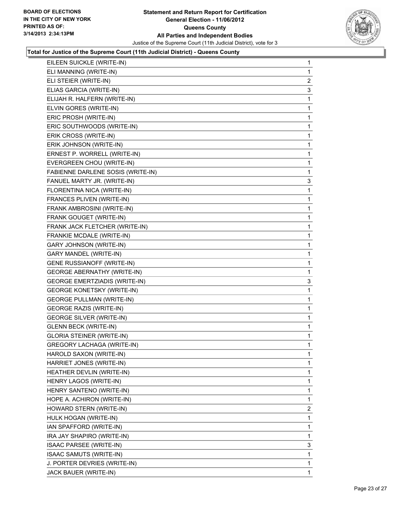

| EILEEN SUICKLE (WRITE-IN)            | 1 |
|--------------------------------------|---|
| ELI MANNING (WRITE-IN)               | 1 |
| ELI STEIER (WRITE-IN)                | 2 |
| ELIAS GARCIA (WRITE-IN)              | 3 |
| ELIJAH R. HALFERN (WRITE-IN)         | 1 |
| ELVIN GORES (WRITE-IN)               | 1 |
| ERIC PROSH (WRITE-IN)                | 1 |
| ERIC SOUTHWOODS (WRITE-IN)           | 1 |
| ERIK CROSS (WRITE-IN)                | 1 |
| ERIK JOHNSON (WRITE-IN)              | 1 |
| ERNEST P. WORRELL (WRITE-IN)         | 1 |
| EVERGREEN CHOU (WRITE-IN)            | 1 |
| FABIENNE DARLENE SOSIS (WRITE-IN)    | 1 |
| FANUEL MARTY JR. (WRITE-IN)          | 3 |
| FLORENTINA NICA (WRITE-IN)           | 1 |
| FRANCES PLIVEN (WRITE-IN)            | 1 |
| FRANK AMBROSINI (WRITE-IN)           | 1 |
| FRANK GOUGET (WRITE-IN)              | 1 |
| FRANK JACK FLETCHER (WRITE-IN)       | 1 |
| FRANKIE MCDALE (WRITE-IN)            | 1 |
| <b>GARY JOHNSON (WRITE-IN)</b>       | 1 |
| GARY MANDEL (WRITE-IN)               | 1 |
| <b>GENE RUSSIANOFF (WRITE-IN)</b>    | 1 |
| <b>GEORGE ABERNATHY (WRITE-IN)</b>   | 1 |
| <b>GEORGE EMERTZIADIS (WRITE-IN)</b> | 3 |
| <b>GEORGE KONETSKY (WRITE-IN)</b>    | 1 |
| <b>GEORGE PULLMAN (WRITE-IN)</b>     | 1 |
| <b>GEORGE RAZIS (WRITE-IN)</b>       | 1 |
| <b>GEORGE SILVER (WRITE-IN)</b>      | 1 |
| <b>GLENN BECK (WRITE-IN)</b>         | 1 |
| <b>GLORIA STEINER (WRITE-IN)</b>     | 1 |
| <b>GREGORY LACHAGA (WRITE-IN)</b>    | 1 |
| HAROLD SAXON (WRITE-IN)              | 1 |
| HARRIET JONES (WRITE-IN)             | 1 |
| HEATHER DEVLIN (WRITE-IN)            | 1 |
| HENRY LAGOS (WRITE-IN)               | 1 |
| HENRY SANTENO (WRITE-IN)             | 1 |
| HOPE A. ACHIRON (WRITE-IN)           | 1 |
| HOWARD STERN (WRITE-IN)              | 2 |
| HULK HOGAN (WRITE-IN)                | 1 |
| IAN SPAFFORD (WRITE-IN)              | 1 |
| IRA JAY SHAPIRO (WRITE-IN)           | 1 |
| ISAAC PARSEE (WRITE-IN)              | 3 |
| ISAAC SAMUTS (WRITE-IN)              | 1 |
| J. PORTER DEVRIES (WRITE-IN)         | 1 |
| JACK BAUER (WRITE-IN)                | 1 |
|                                      |   |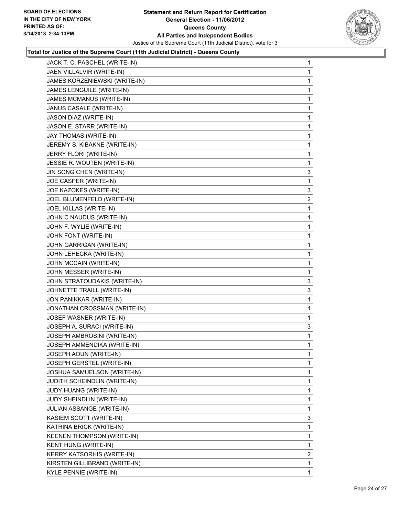

| JACK T. C. PASCHEL (WRITE-IN)     | 1              |
|-----------------------------------|----------------|
| JAEN VILLALVIR (WRITE-IN)         | 1              |
| JAMES KORZENIEWSKI (WRITE-IN)     | 1              |
| JAMES LENGUILE (WRITE-IN)         | 1              |
| JAMES MCMANUS (WRITE-IN)          | 1              |
| JANUS CASALE (WRITE-IN)           | 1              |
| JASON DIAZ (WRITE-IN)             | 1              |
| JASON E. STARR (WRITE-IN)         | 1              |
| JAY THOMAS (WRITE-IN)             | 1              |
| JEREMY S. KIBAKNE (WRITE-IN)      | 1              |
| JERRY FLORI (WRITE-IN)            | 1              |
| JESSIE R. WOUTEN (WRITE-IN)       | 1              |
| JIN SONG CHEN (WRITE-IN)          | 3              |
| JOE CASPER (WRITE-IN)             | 1              |
| JOE KAZOKES (WRITE-IN)            | 3              |
| JOEL BLUMENFELD (WRITE-IN)        | $\overline{2}$ |
| JOEL KILLAS (WRITE-IN)            | 1              |
| JOHN C NAUDUS (WRITE-IN)          | 1              |
| JOHN F. WYLIE (WRITE-IN)          | 1              |
| JOHN FONT (WRITE-IN)              | 1              |
| JOHN GARRIGAN (WRITE-IN)          | 1              |
| JOHN LEHECKA (WRITE-IN)           | 1              |
| JOHN MCCAIN (WRITE-IN)            | 1              |
| JOHN MESSER (WRITE-IN)            | 1              |
| JOHN STRATOUDAKIS (WRITE-IN)      | 3              |
| JOHNETTE TRAILL (WRITE-IN)        | 3              |
| JON PANIKKAR (WRITE-IN)           | 1              |
| JONATHAN CROSSMAN (WRITE-IN)      | 1              |
| JOSEF WASNER (WRITE-IN)           | 1              |
| JOSEPH A. SURACI (WRITE-IN)       | 3              |
| JOSEPH AMBROSINI (WRITE-IN)       | 1              |
| JOSEPH AMMENDIKA (WRITE-IN)       | 1              |
| JOSEPH AOUN (WRITE-IN)            | 1              |
| JOSEPH GERSTEL (WRITE-IN)         | 1              |
| JOSHUA SAMUELSON (WRITE-IN)       | 1              |
| JUDITH SCHEINDLIN (WRITE-IN)      | 1              |
| JUDY HUANG (WRITE-IN)             | 1              |
| JUDY SHEINDLIN (WRITE-IN)         | 1              |
| JULIAN ASSANGE (WRITE-IN)         | 1              |
| KASIEM SCOTT (WRITE-IN)           | 3              |
| KATRINA BRICK (WRITE-IN)          | 1              |
| <b>KEENEN THOMPSON (WRITE-IN)</b> | 1              |
| KENT HUNG (WRITE-IN)              | 1              |
| <b>KERRY KATSORHIS (WRITE-IN)</b> | 2              |
| KIRSTEN GILLIBRAND (WRITE-IN)     | 1              |
| KYLE PENNIE (WRITE-IN)            | $\mathbf{1}$   |
|                                   |                |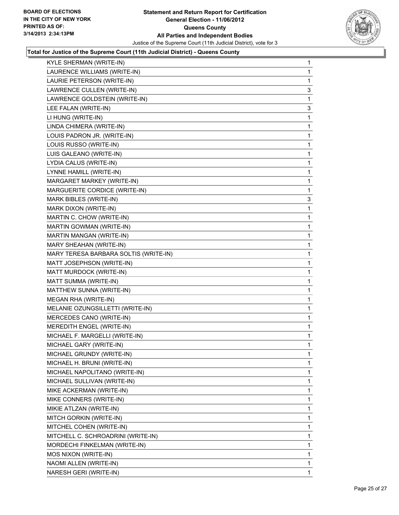

| KYLE SHERMAN (WRITE-IN)               | 1            |
|---------------------------------------|--------------|
| LAURENCE WILLIAMS (WRITE-IN)          | 1            |
| LAURIE PETERSON (WRITE-IN)            | 1            |
| LAWRENCE CULLEN (WRITE-IN)            | 3            |
| LAWRENCE GOLDSTEIN (WRITE-IN)         | 1            |
| LEE FALAN (WRITE-IN)                  | 3            |
| LI HUNG (WRITE-IN)                    | 1            |
| LINDA CHIMERA (WRITE-IN)              | 1            |
| LOUIS PADRON JR. (WRITE-IN)           | 1            |
| LOUIS RUSSO (WRITE-IN)                | 1            |
| LUIS GALEANO (WRITE-IN)               | 1            |
| LYDIA CALUS (WRITE-IN)                | 1            |
| LYNNE HAMILL (WRITE-IN)               | 1            |
| MARGARET MARKEY (WRITE-IN)            | 1            |
| MARGUERITE CORDICE (WRITE-IN)         | 1            |
| <b>MARK BIBLES (WRITE-IN)</b>         | 3            |
| MARK DIXON (WRITE-IN)                 | 1            |
| MARTIN C. CHOW (WRITE-IN)             | 1            |
| <b>MARTIN GOWMAN (WRITE-IN)</b>       | 1            |
| MARTIN MANGAN (WRITE-IN)              | 1            |
| MARY SHEAHAN (WRITE-IN)               | 1            |
| MARY TERESA BARBARA SOLTIS (WRITE-IN) | 1            |
| MATT JOSEPHSON (WRITE-IN)             | 1            |
| MATT MURDOCK (WRITE-IN)               | 1            |
| MATT SUMMA (WRITE-IN)                 | 1            |
| MATTHEW SUNNA (WRITE-IN)              | 1            |
| MEGAN RHA (WRITE-IN)                  | 1            |
| MELANIE OZUNGSILLETTI (WRITE-IN)      | 1            |
| MERCEDES CANO (WRITE-IN)              | 1            |
| MEREDITH ENGEL (WRITE-IN)             | 1            |
| MICHAEL F. MARGELLI (WRITE-IN)        | 1            |
| MICHAEL GARY (WRITE-IN)               | 1            |
| MICHAEL GRUNDY (WRITE-IN)             | 1            |
| MICHAEL H. BRUNI (WRITE-IN)           | 1            |
| MICHAEL NAPOLITANO (WRITE-IN)         | 1            |
| MICHAEL SULLIVAN (WRITE-IN)           | 1            |
| MIKE ACKERMAN (WRITE-IN)              | 1            |
| MIKE CONNERS (WRITE-IN)               | 1            |
| MIKIE ATLZAN (WRITE-IN)               | 1            |
| MITCH GORKIN (WRITE-IN)               | 1            |
| MITCHEL COHEN (WRITE-IN)              | 1            |
| MITCHELL C. SCHROADRINI (WRITE-IN)    | 1            |
| MORDECHI FINKELMAN (WRITE-IN)         | 1            |
| MOS NIXON (WRITE-IN)                  | 1            |
| NAOMI ALLEN (WRITE-IN)                | 1            |
| NARESH GERI (WRITE-IN)                | $\mathbf{1}$ |
|                                       |              |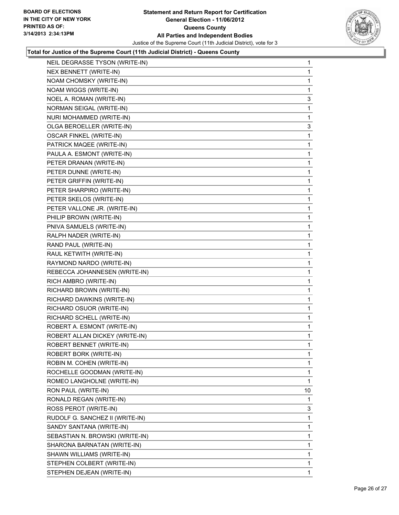

| NEIL DEGRASSE TYSON (WRITE-IN)  | $\mathbf 1$ |
|---------------------------------|-------------|
| NEX BENNETT (WRITE-IN)          | 1           |
| NOAM CHOMSKY (WRITE-IN)         | 1           |
| NOAM WIGGS (WRITE-IN)           | 1           |
| NOEL A. ROMAN (WRITE-IN)        | 3           |
| NORMAN SEIGAL (WRITE-IN)        | 1           |
| NURI MOHAMMED (WRITE-IN)        | 1           |
| OLGA BEROELLER (WRITE-IN)       | 3           |
| <b>OSCAR FINKEL (WRITE-IN)</b>  | 1           |
| PATRICK MAQEE (WRITE-IN)        | 1           |
| PAULA A. ESMONT (WRITE-IN)      | 1           |
| PETER DRANAN (WRITE-IN)         | 1           |
| PETER DUNNE (WRITE-IN)          | 1           |
| PETER GRIFFIN (WRITE-IN)        | 1           |
| PETER SHARPIRO (WRITE-IN)       | 1           |
| PETER SKELOS (WRITE-IN)         | 1           |
| PETER VALLONE JR. (WRITE-IN)    | 1           |
| PHILIP BROWN (WRITE-IN)         | 1           |
| PNIVA SAMUELS (WRITE-IN)        | 1           |
| RALPH NADER (WRITE-IN)          | 1           |
| RAND PAUL (WRITE-IN)            | 1           |
| RAUL KETWITH (WRITE-IN)         | 1           |
| RAYMOND NARDO (WRITE-IN)        | 1           |
| REBECCA JOHANNESEN (WRITE-IN)   | 1           |
| RICH AMBRO (WRITE-IN)           | 1           |
| RICHARD BROWN (WRITE-IN)        | 1           |
| RICHARD DAWKINS (WRITE-IN)      | 1           |
| RICHARD OSUOR (WRITE-IN)        | 1           |
| RICHARD SCHELL (WRITE-IN)       | 1           |
| ROBERT A. ESMONT (WRITE-IN)     | 1           |
| ROBERT ALLAN DICKEY (WRITE-IN)  | 1           |
| ROBERT BENNET (WRITE-IN)        | 1           |
| ROBERT BORK (WRITE-IN)          | 1           |
| ROBIN M. COHEN (WRITE-IN)       | 1           |
| ROCHELLE GOODMAN (WRITE-IN)     | 1           |
| ROMEO LANGHOLNE (WRITE-IN)      | 1           |
| RON PAUL (WRITE-IN)             | 10          |
| RONALD REGAN (WRITE-IN)         | 1           |
| ROSS PEROT (WRITE-IN)           | 3           |
| RUDOLF G. SANCHEZ II (WRITE-IN) | 1           |
| SANDY SANTANA (WRITE-IN)        | 1           |
| SEBASTIAN N. BROWSKI (WRITE-IN) | 1           |
| SHARONA BARNATAN (WRITE-IN)     | 1           |
| SHAWN WILLIAMS (WRITE-IN)       | 1           |
| STEPHEN COLBERT (WRITE-IN)      | 1           |
| STEPHEN DEJEAN (WRITE-IN)       | 1           |